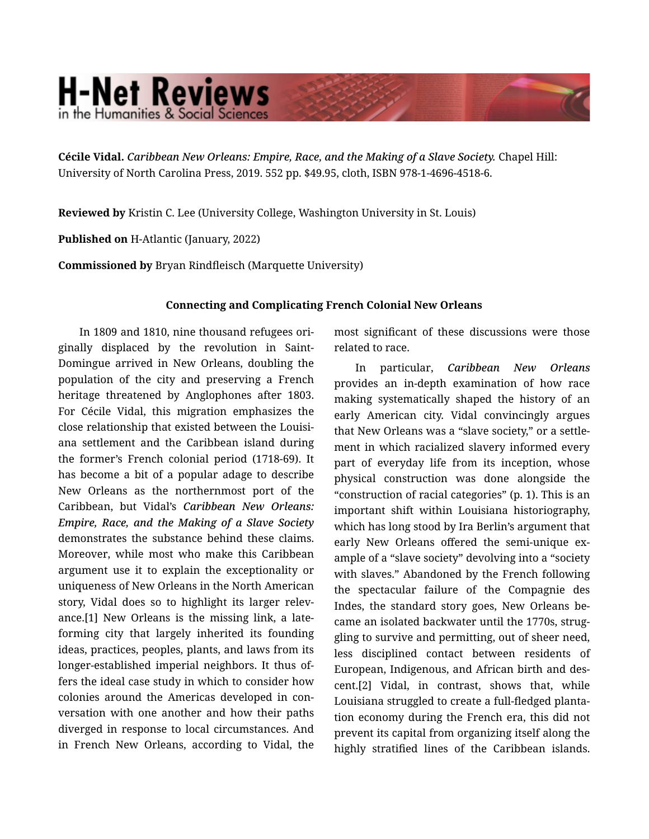## **H-Net Reviews** in the Humanities & Social Scienc

Cécile Vidal. *Caribbean New Orleans: Empire, Race, and the Making of a Slave Society.* Chapel Hill: University of North Carolina Press, 2019. 552 pp. \$49.95, cloth, ISBN 978-1-4696-4518-6.

Reviewed by Kristin C. Lee (University College, Washington University in St. Louis)

Published on H-Atlantic (January, 2022)

Commissioned by Bryan Rindfleisch (Marquette University)

## Connecting and Complicating French Colonial New Orleans

In 1809 and 1810, nine thousand refugees ori‐ ginally displaced by the revolution in Saint-Domingue arrived in New Orleans, doubling the population of the city and preserving a French heritage threatened by Anglophones after 1803. For Cécile Vidal, this migration emphasizes the close relationship that existed between the Louisi‐ ana settlement and the Caribbean island during the former's French colonial period (1718-69). It has become a bit of a popular adage to describe New Orleans as the northernmost port of the Caribbean, but Vidal's *Caribbean New Orleans: Empire, Race, and the Making of a Slave Society* demonstrates the substance behind these claims. Moreover, while most who make this Caribbean argument use it to explain the exceptionality or uniqueness of New Orleans in the North American story, Vidal does so to highlight its larger relev‐ ance.[1] New Orleans is the missing link, a lateforming city that largely inherited its founding ideas, practices, peoples, plants, and laws from its longer-established imperial neighbors. It thus of‐ fers the ideal case study in which to consider how colonies around the Americas developed in con‐ versation with one another and how their paths diverged in response to local circumstances. And in French New Orleans, according to Vidal, the

most significant of these discussions were those related to race.

In particular, *Caribbean New Orleans* provides an in-depth examination of how race making systematically shaped the history of an early American city. Vidal convincingly argues that New Orleans was a "slave society," or a settle‐ ment in which racialized slavery informed every part of everyday life from its inception, whose physical construction was done alongside the "construction of racial categories" (p. 1). This is an important shift within Louisiana historiography, which has long stood by Ira Berlin's argument that early New Orleans offered the semi-unique example of a "slave society" devolving into a "society with slaves." Abandoned by the French following the spectacular failure of the Compagnie des Indes, the standard story goes, New Orleans be‐ came an isolated backwater until the 1770s, strug‐ gling to survive and permitting, out of sheer need, less disciplined contact between residents of European, Indigenous, and African birth and des‐ cent.[2] Vidal, in contrast, shows that, while Louisiana struggled to create a full-fledged planta‐ tion economy during the French era, this did not prevent its capital from organizing itself along the highly stratified lines of the Caribbean islands.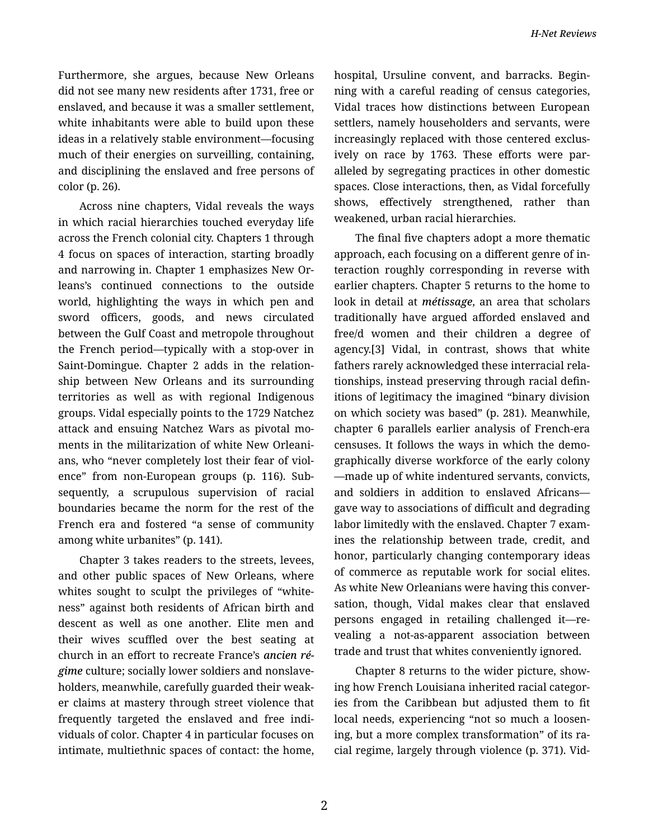Furthermore, she argues, because New Orleans did not see many new residents after 1731, free or enslaved, and because it was a smaller settlement, white inhabitants were able to build upon these ideas in a relatively stable environment—focusing much of their energies on surveilling, containing, and disciplining the enslaved and free persons of color (p. 26).

Across nine chapters, Vidal reveals the ways in which racial hierarchies touched everyday life across the French colonial city. Chapters 1 through 4 focus on spaces of interaction, starting broadly and narrowing in. Chapter 1 emphasizes New Or‐ leans's continued connections to the outside world, highlighting the ways in which pen and sword officers, goods, and news circulated between the Gulf Coast and metropole throughout the French period—typically with a stop-over in Saint-Domingue. Chapter 2 adds in the relation‐ ship between New Orleans and its surrounding territories as well as with regional Indigenous groups. Vidal especially points to the 1729 Natchez attack and ensuing Natchez Wars as pivotal mo‐ ments in the militarization of white New Orleani‐ ans, who "never completely lost their fear of viol‐ ence" from non-European groups (p. 116). Sub‐ sequently, a scrupulous supervision of racial boundaries became the norm for the rest of the French era and fostered "a sense of community among white urbanites" (p. 141).

Chapter 3 takes readers to the streets, levees, and other public spaces of New Orleans, where whites sought to sculpt the privileges of "whiteness" against both residents of African birth and descent as well as one another. Elite men and their wives scuffled over the best seating at church in an effort to recreate France's *ancien ré‐ gime* culture; socially lower soldiers and nonslave‐ holders, meanwhile, carefully guarded their weak‐ er claims at mastery through street violence that frequently targeted the enslaved and free indi‐ viduals of color. Chapter 4 in particular focuses on intimate, multiethnic spaces of contact: the home, hospital, Ursuline convent, and barracks. Begin‐ ning with a careful reading of census categories, Vidal traces how distinctions between European settlers, namely householders and servants, were increasingly replaced with those centered exclus‐ ively on race by 1763. These efforts were par‐ alleled by segregating practices in other domestic spaces. Close interactions, then, as Vidal forcefully shows, effectively strengthened, rather than weakened, urban racial hierarchies.

The final five chapters adopt a more thematic approach, each focusing on a different genre of in‐ teraction roughly corresponding in reverse with earlier chapters. Chapter 5 returns to the home to look in detail at *métissage*, an area that scholars traditionally have argued afforded enslaved and free/d women and their children a degree of agency.[3] Vidal, in contrast, shows that white fathers rarely acknowledged these interracial rela‐ tionships, instead preserving through racial defin‐ itions of legitimacy the imagined "binary division on which society was based" (p. 281). Meanwhile, chapter 6 parallels earlier analysis of French-era censuses. It follows the ways in which the demo‐ graphically diverse workforce of the early colony —made up of white indentured servants, convicts, and soldiers in addition to enslaved Africans gave way to associations of difficult and degrading labor limitedly with the enslaved. Chapter 7 exam‐ ines the relationship between trade, credit, and honor, particularly changing contemporary ideas of commerce as reputable work for social elites. As white New Orleanians were having this conver‐ sation, though, Vidal makes clear that enslaved persons engaged in retailing challenged it—re‐ vealing a not-as-apparent association between trade and trust that whites conveniently ignored.

Chapter 8 returns to the wider picture, show‐ ing how French Louisiana inherited racial categor‐ ies from the Caribbean but adjusted them to fit local needs, experiencing "not so much a loosen‐ ing, but a more complex transformation" of its ra‐ cial regime, largely through violence (p. 371). Vid‐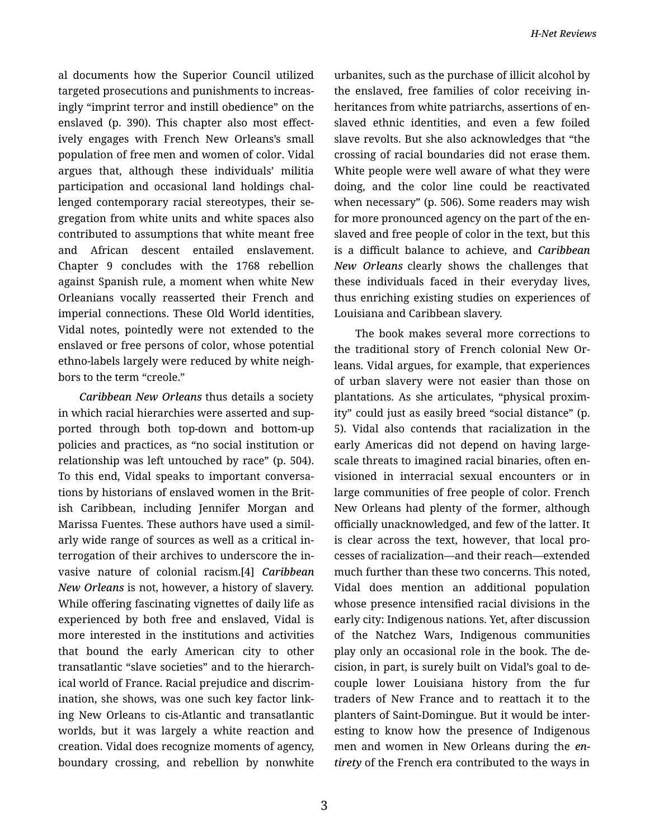al documents how the Superior Council utilized targeted prosecutions and punishments to increas‐ ingly "imprint terror and instill obedience" on the enslaved (p. 390). This chapter also most effect‐ ively engages with French New Orleans's small population of free men and women of color. Vidal argues that, although these individuals' militia participation and occasional land holdings chal‐ lenged contemporary racial stereotypes, their se‐ gregation from white units and white spaces also contributed to assumptions that white meant free and African descent entailed enslavement. Chapter 9 concludes with the 1768 rebellion against Spanish rule, a moment when white New Orleanians vocally reasserted their French and imperial connections. These Old World identities, Vidal notes, pointedly were not extended to the enslaved or free persons of color, whose potential ethno-labels largely were reduced by white neigh‐ bors to the term "creole."

*Caribbean New Orleans* thus details a society in which racial hierarchies were asserted and sup‐ ported through both top-down and bottom-up policies and practices, as "no social institution or relationship was left untouched by race" (p. 504). To this end, Vidal speaks to important conversa‐ tions by historians of enslaved women in the Brit‐ ish Caribbean, including Jennifer Morgan and Marissa Fuentes. These authors have used a simil‐ arly wide range of sources as well as a critical in‐ terrogation of their archives to underscore the in‐ vasive nature of colonial racism.[4] *Caribbean New Orleans* is not, however, a history of slavery. While offering fascinating vignettes of daily life as experienced by both free and enslaved, Vidal is more interested in the institutions and activities that bound the early American city to other transatlantic "slave societies" and to the hierarch‐ ical world of France. Racial prejudice and discrim‐ ination, she shows, was one such key factor link‐ ing New Orleans to cis-Atlantic and transatlantic worlds, but it was largely a white reaction and creation. Vidal does recognize moments of agency, boundary crossing, and rebellion by nonwhite

urbanites, such as the purchase of illicit alcohol by the enslaved, free families of color receiving in‐ heritances from white patriarchs, assertions of en‐ slaved ethnic identities, and even a few foiled slave revolts. But she also acknowledges that "the crossing of racial boundaries did not erase them. White people were well aware of what they were doing, and the color line could be reactivated when necessary" (p. 506). Some readers may wish for more pronounced agency on the part of the en‐ slaved and free people of color in the text, but this is a difficult balance to achieve, and *Caribbean New Orleans* clearly shows the challenges that these individuals faced in their everyday lives, thus enriching existing studies on experiences of Louisiana and Caribbean slavery.

The book makes several more corrections to the traditional story of French colonial New Or‐ leans. Vidal argues, for example, that experiences of urban slavery were not easier than those on plantations. As she articulates, "physical proxim‐ ity" could just as easily breed "social distance" (p. 5). Vidal also contends that racialization in the early Americas did not depend on having largescale threats to imagined racial binaries, often en‐ visioned in interracial sexual encounters or in large communities of free people of color. French New Orleans had plenty of the former, although officially unacknowledged, and few of the latter. It is clear across the text, however, that local pro‐ cesses of racialization—and their reach—extended much further than these two concerns. This noted, Vidal does mention an additional population whose presence intensified racial divisions in the early city: Indigenous nations. Yet, after discussion of the Natchez Wars, Indigenous communities play only an occasional role in the book. The de‐ cision, in part, is surely built on Vidal's goal to de‐ couple lower Louisiana history from the fur traders of New France and to reattach it to the planters of Saint-Domingue. But it would be inter‐ esting to know how the presence of Indigenous men and women in New Orleans during the *en‐ tirety* of the French era contributed to the ways in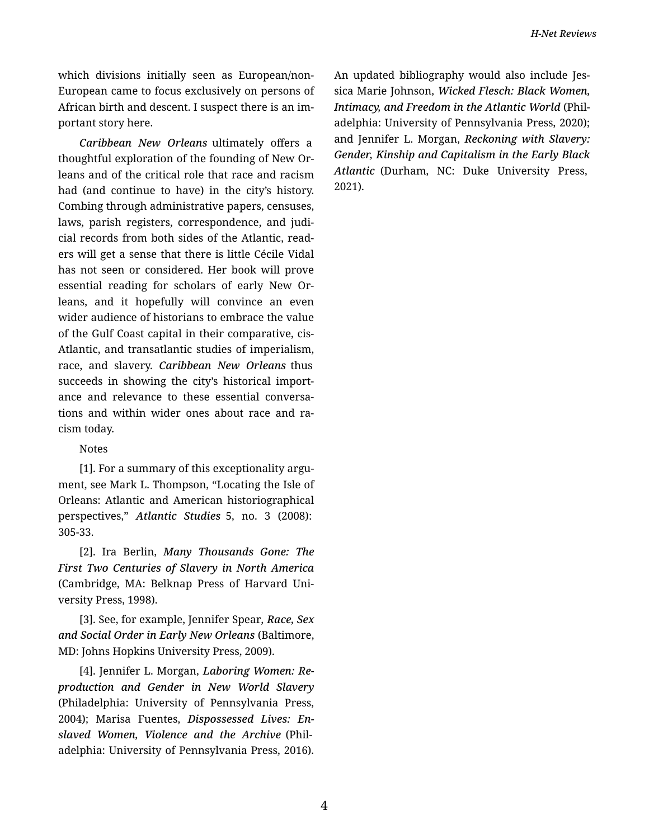which divisions initially seen as European/non-European came to focus exclusively on persons of African birth and descent. I suspect there is an im‐ portant story here.

*Caribbean New Orleans* ultimately offers a thoughtful exploration of the founding of New Or‐ leans and of the critical role that race and racism had (and continue to have) in the city's history. Combing through administrative papers, censuses, laws, parish registers, correspondence, and judicial records from both sides of the Atlantic, read‐ ers will get a sense that there is little Cécile Vidal has not seen or considered. Her book will prove essential reading for scholars of early New Or‐ leans, and it hopefully will convince an even wider audience of historians to embrace the value of the Gulf Coast capital in their comparative, cis-Atlantic, and transatlantic studies of imperialism, race, and slavery. *Caribbean New Orleans* thus succeeds in showing the city's historical import‐ ance and relevance to these essential conversa‐ tions and within wider ones about race and ra‐ cism today.

## Notes

[1]. For a summary of this exceptionality argu‐ ment, see Mark L. Thompson, "Locating the Isle of Orleans: Atlantic and American historiographical perspectives," *Atlantic Studies* 5, no. 3 (2008): 305-33.

[2]. Ira Berlin, *Many Thousands Gone: The First Two Centuries of Slavery in North America* (Cambridge, MA: Belknap Press of Harvard Uni‐ versity Press, 1998).

[3]. See, for example, Jennifer Spear, *Race, Sex and Social Order in Early New Orleans* (Baltimore, MD: Johns Hopkins University Press, 2009).

[4]. Jennifer L. Morgan, *Laboring Women: Re‐ production and Gender in New World Slavery* (Philadelphia: University of Pennsylvania Press, 2004); Marisa Fuentes, *Dispossessed Lives: En‐ slaved Women, Violence and the Archive* (Phil‐ adelphia: University of Pennsylvania Press, 2016). An updated bibliography would also include Jes‐ sica Marie Johnson, *Wicked Flesch: Black Women, Intimacy, and Freedom in the Atlantic World* (Phil‐ adelphia: University of Pennsylvania Press, 2020); and Jennifer L. Morgan, *Reckoning with Slavery: Gender, Kinship and Capitalism in the Early Black Atlantic* (Durham, NC: Duke University Press, 2021).